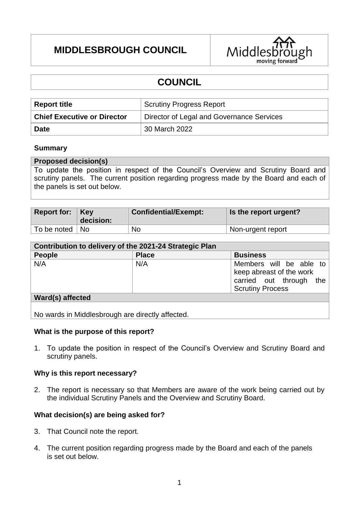# **MIDDLESBROUGH COUNCIL**



# **COUNCIL**

| <b>Report title</b>                | <b>Scrutiny Progress Report</b>           |
|------------------------------------|-------------------------------------------|
| <b>Chief Executive or Director</b> | Director of Legal and Governance Services |
| <b>Date</b>                        | 30 March 2022                             |

#### **Summary**

#### **Proposed decision(s)**

To update the position in respect of the Council's Overview and Scrutiny Board and scrutiny panels. The current position regarding progress made by the Board and each of the panels is set out below.

| Report for: $Key$ | decision: | <b>Confidential/Exempt:</b> | Is the report urgent? |
|-------------------|-----------|-----------------------------|-----------------------|
| To be noted   No  |           | No                          | Non-urgent report     |

| Contribution to delivery of the 2021-24 Strategic Plan |              |                                                                                                           |  |  |
|--------------------------------------------------------|--------------|-----------------------------------------------------------------------------------------------------------|--|--|
| <b>People</b>                                          | <b>Place</b> | <b>Business</b>                                                                                           |  |  |
| N/A                                                    | N/A          | Members will be able to<br>keep abreast of the work<br>carried out through the<br><b>Scrutiny Process</b> |  |  |
| Ward(s) affected                                       |              |                                                                                                           |  |  |

No wards in Middlesbrough are directly affected.

#### **What is the purpose of this report?**

1. To update the position in respect of the Council's Overview and Scrutiny Board and scrutiny panels.

#### **Why is this report necessary?**

2. The report is necessary so that Members are aware of the work being carried out by the individual Scrutiny Panels and the Overview and Scrutiny Board.

#### **What decision(s) are being asked for?**

- 3. That Council note the report.
- 4. The current position regarding progress made by the Board and each of the panels is set out below.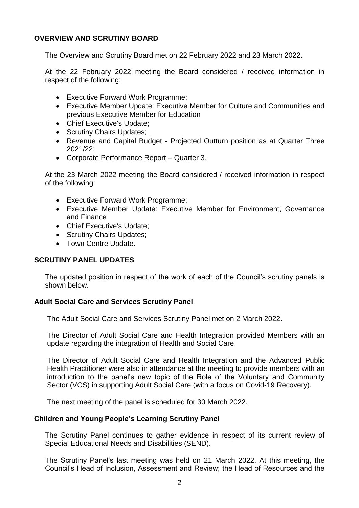### **OVERVIEW AND SCRUTINY BOARD**

The Overview and Scrutiny Board met on 22 February 2022 and 23 March 2022.

At the 22 February 2022 meeting the Board considered / received information in respect of the following:

- Executive Forward Work Programme;
- Executive Member Update: Executive Member for Culture and Communities and previous Executive Member for Education
- Chief Executive's Update:
- Scrutiny Chairs Updates:
- Revenue and Capital Budget Projected Outturn position as at Quarter Three 2021/22;
- Corporate Performance Report Quarter 3.

At the 23 March 2022 meeting the Board considered / received information in respect of the following:

- Executive Forward Work Programme;
- Executive Member Update: Executive Member for Environment, Governance and Finance
- Chief Executive's Update;
- Scrutiny Chairs Updates:
- Town Centre Update.

#### **SCRUTINY PANEL UPDATES**

The updated position in respect of the work of each of the Council's scrutiny panels is shown below.

#### **Adult Social Care and Services Scrutiny Panel**

The Adult Social Care and Services Scrutiny Panel met on 2 March 2022.

The Director of Adult Social Care and Health Integration provided Members with an update regarding the integration of Health and Social Care.

The Director of Adult Social Care and Health Integration and the Advanced Public Health Practitioner were also in attendance at the meeting to provide members with an introduction to the panel's new topic of the Role of the Voluntary and Community Sector (VCS) in supporting Adult Social Care (with a focus on Covid-19 Recovery).

The next meeting of the panel is scheduled for 30 March 2022.

### **Children and Young People's Learning Scrutiny Panel**

The Scrutiny Panel continues to gather evidence in respect of its current review of Special Educational Needs and Disabilities (SEND).

The Scrutiny Panel's last meeting was held on 21 March 2022. At this meeting, the Council's Head of Inclusion, Assessment and Review; the Head of Resources and the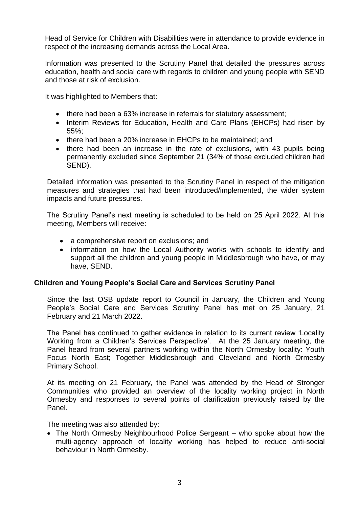Head of Service for Children with Disabilities were in attendance to provide evidence in respect of the increasing demands across the Local Area.

Information was presented to the Scrutiny Panel that detailed the pressures across education, health and social care with regards to children and young people with SEND and those at risk of exclusion.

It was highlighted to Members that:

- there had been a 63% increase in referrals for statutory assessment;
- Interim Reviews for Education, Health and Care Plans (EHCPs) had risen by 55%;
- there had been a 20% increase in EHCPs to be maintained; and
- there had been an increase in the rate of exclusions, with 43 pupils being permanently excluded since September 21 (34% of those excluded children had SEND).

Detailed information was presented to the Scrutiny Panel in respect of the mitigation measures and strategies that had been introduced/implemented, the wider system impacts and future pressures.

The Scrutiny Panel's next meeting is scheduled to be held on 25 April 2022. At this meeting, Members will receive:

- a comprehensive report on exclusions; and
- information on how the Local Authority works with schools to identify and support all the children and young people in Middlesbrough who have, or may have, SEND.

#### **Children and Young People's Social Care and Services Scrutiny Panel**

Since the last OSB update report to Council in January, the Children and Young People's Social Care and Services Scrutiny Panel has met on 25 January, 21 February and 21 March 2022.

The Panel has continued to gather evidence in relation to its current review 'Locality Working from a Children's Services Perspective'. At the 25 January meeting, the Panel heard from several partners working within the North Ormesby locality: Youth Focus North East; Together Middlesbrough and Cleveland and North Ormesby Primary School.

At its meeting on 21 February, the Panel was attended by the Head of Stronger Communities who provided an overview of the locality working project in North Ormesby and responses to several points of clarification previously raised by the Panel.

The meeting was also attended by:

 The North Ormesby Neighbourhood Police Sergeant – who spoke about how the multi-agency approach of locality working has helped to reduce anti-social behaviour in North Ormesby.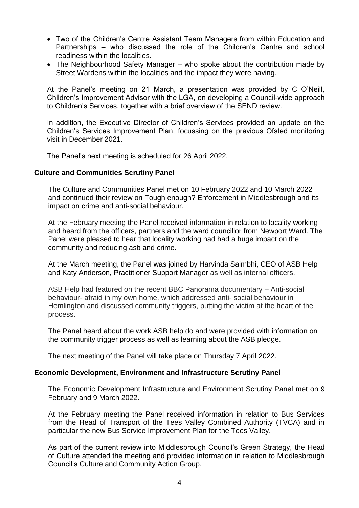- Two of the Children's Centre Assistant Team Managers from within Education and Partnerships – who discussed the role of the Children's Centre and school readiness within the localities.
- The Neighbourhood Safety Manager who spoke about the contribution made by Street Wardens within the localities and the impact they were having.

At the Panel's meeting on 21 March, a presentation was provided by C O'Neill, Children's Improvement Advisor with the LGA, on developing a Council-wide approach to Children's Services, together with a brief overview of the SEND review.

In addition, the Executive Director of Children's Services provided an update on the Children's Services Improvement Plan, focussing on the previous Ofsted monitoring visit in December 2021.

The Panel's next meeting is scheduled for 26 April 2022.

#### **Culture and Communities Scrutiny Panel**

The Culture and Communities Panel met on 10 February 2022 and 10 March 2022 and continued their review on Tough enough? Enforcement in Middlesbrough and its impact on crime and anti-social behaviour.

At the February meeting the Panel received information in relation to locality working and heard from the officers, partners and the ward councillor from Newport Ward. The Panel were pleased to hear that locality working had had a huge impact on the community and reducing asb and crime.

At the March meeting, the Panel was joined by Harvinda Saimbhi, CEO of ASB Help and Katy Anderson, Practitioner Support Manager as well as internal officers.

ASB Help had featured on the recent BBC Panorama documentary – Anti-social behaviour- afraid in my own home, which addressed anti- social behaviour in Hemlington and discussed community triggers, putting the victim at the heart of the process.

The Panel heard about the work ASB help do and were provided with information on the community trigger process as well as learning about the ASB pledge.

The next meeting of the Panel will take place on Thursday 7 April 2022.

#### **Economic Development, Environment and Infrastructure Scrutiny Panel**

The Economic Development Infrastructure and Environment Scrutiny Panel met on 9 February and 9 March 2022.

At the February meeting the Panel received information in relation to Bus Services from the Head of Transport of the Tees Valley Combined Authority (TVCA) and in particular the new Bus Service Improvement Plan for the Tees Valley.

As part of the current review into Middlesbrough Council's Green Strategy, the Head of Culture attended the meeting and provided information in relation to Middlesbrough Council's Culture and Community Action Group.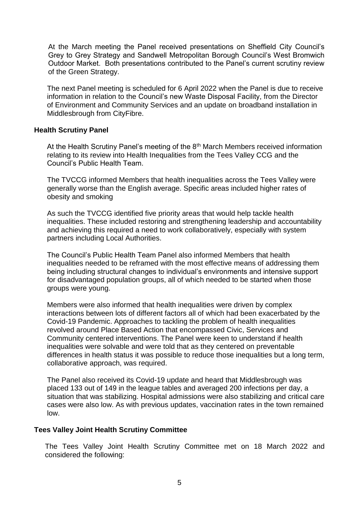At the March meeting the Panel received presentations on Sheffield City Council's Grey to Grey Strategy and Sandwell Metropolitan Borough Council's West Bromwich Outdoor Market. Both presentations contributed to the Panel's current scrutiny review of the Green Strategy.

The next Panel meeting is scheduled for 6 April 2022 when the Panel is due to receive information in relation to the Council's new Waste Disposal Facility, from the Director of Environment and Community Services and an update on broadband installation in Middlesbrough from CityFibre.

#### **Health Scrutiny Panel**

At the Health Scrutiny Panel's meeting of the 8<sup>th</sup> March Members received information relating to its review into Health Inequalities from the Tees Valley CCG and the Council's Public Health Team.

The TVCCG informed Members that health inequalities across the Tees Valley were generally worse than the English average. Specific areas included higher rates of obesity and smoking

As such the TVCCG identified five priority areas that would help tackle health inequalities. These included restoring and strengthening leadership and accountability and achieving this required a need to work collaboratively, especially with system partners including Local Authorities.

The Council's Public Health Team Panel also informed Members that health inequalities needed to be reframed with the most effective means of addressing them being including structural changes to individual's environments and intensive support for disadvantaged population groups, all of which needed to be started when those groups were young.

Members were also informed that health inequalities were driven by complex interactions between lots of different factors all of which had been exacerbated by the Covid-19 Pandemic. Approaches to tackling the problem of health inequalities revolved around Place Based Action that encompassed Civic, Services and Community centered interventions. The Panel were keen to understand if health inequalities were solvable and were told that as they centered on preventable differences in health status it was possible to reduce those inequalities but a long term, collaborative approach, was required.

The Panel also received its Covid-19 update and heard that Middlesbrough was placed 133 out of 149 in the league tables and averaged 200 infections per day, a situation that was stabilizing. Hospital admissions were also stabilizing and critical care cases were also low. As with previous updates, vaccination rates in the town remained low.

#### **Tees Valley Joint Health Scrutiny Committee**

The Tees Valley Joint Health Scrutiny Committee met on 18 March 2022 and considered the following: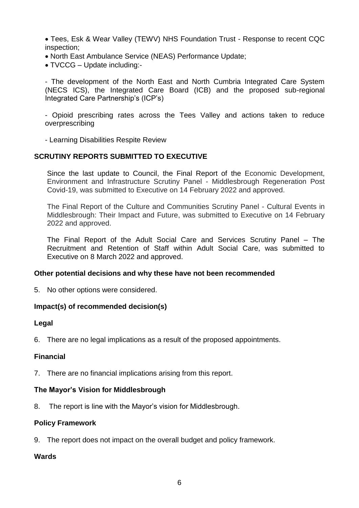Tees, Esk & Wear Valley (TEWV) NHS Foundation Trust - Response to recent CQC inspection;

- North East Ambulance Service (NEAS) Performance Update;
- TVCCG Update including:-

- The development of the North East and North Cumbria Integrated Care System (NECS ICS), the Integrated Care Board (ICB) and the proposed sub-regional Integrated Care Partnership's (ICP's)

- Opioid prescribing rates across the Tees Valley and actions taken to reduce overprescribing

- Learning Disabilities Respite Review

#### **SCRUTINY REPORTS SUBMITTED TO EXECUTIVE**

Since the last update to Council, the Final Report of the Economic Development, Environment and Infrastructure Scrutiny Panel - Middlesbrough Regeneration Post Covid-19, was submitted to Executive on 14 February 2022 and approved.

The Final Report of the Culture and Communities Scrutiny Panel - Cultural Events in Middlesbrough: Their Impact and Future, was submitted to Executive on 14 February 2022 and approved.

The Final Report of the Adult Social Care and Services Scrutiny Panel – The Recruitment and Retention of Staff within Adult Social Care, was submitted to Executive on 8 March 2022 and approved.

#### **Other potential decisions and why these have not been recommended**

5. No other options were considered.

#### **Impact(s) of recommended decision(s)**

#### **Legal**

6. There are no legal implications as a result of the proposed appointments.

#### **Financial**

7. There are no financial implications arising from this report.

#### **The Mayor's Vision for Middlesbrough**

8. The report is line with the Mayor's vision for Middlesbrough.

#### **Policy Framework**

9. The report does not impact on the overall budget and policy framework.

#### **Wards**